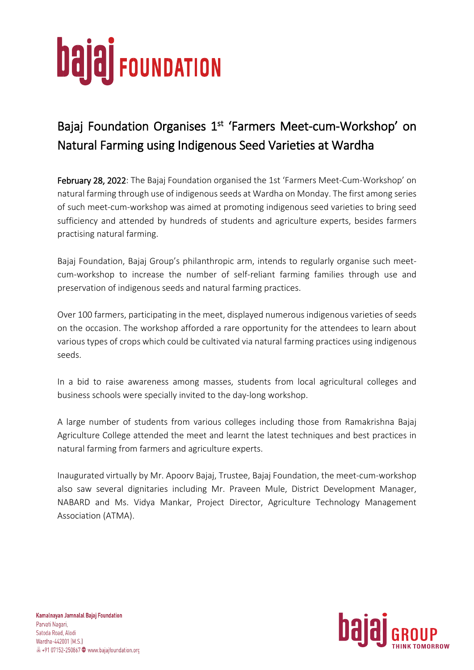## **bajaj** FOUNDATION

## Bajaj Foundation Organises 1<sup>st</sup> 'Farmers Meet-cum-Workshop' on Natural Farming using Indigenous Seed Varieties at Wardha

February 28, 2022: The Bajaj Foundation organised the 1st 'Farmers Meet-Cum-Workshop' on natural farming through use of indigenous seeds at Wardha on Monday. The first among series of such meet-cum-workshop was aimed at promoting indigenous seed varieties to bring seed sufficiency and attended by hundreds of students and agriculture experts, besides farmers practising natural farming.

Bajaj Foundation, Bajaj Group's philanthropic arm, intends to regularly organise such meetcum-workshop to increase the number of self-reliant farming families through use and preservation of indigenous seeds and natural farming practices.

Over 100 farmers, participating in the meet, displayed numerous indigenous varieties of seeds on the occasion. The workshop afforded a rare opportunity for the attendees to learn about various types of crops which could be cultivated via natural farming practices using indigenous seeds.

In a bid to raise awareness among masses, students from local agricultural colleges and business schools were specially invited to the day-long workshop.

A large number of students from various colleges including those from Ramakrishna Bajaj Agriculture College attended the meet and learnt the latest techniques and best practices in natural farming from farmers and agriculture experts.

Inaugurated virtually by Mr. Apoorv Bajaj, Trustee, Bajaj Foundation, the meet-cum-workshop also saw several dignitaries including Mr. Praveen Mule, District Development Manager, NABARD and Ms. Vidya Mankar, Project Director, Agriculture Technology Management Association (ATMA).